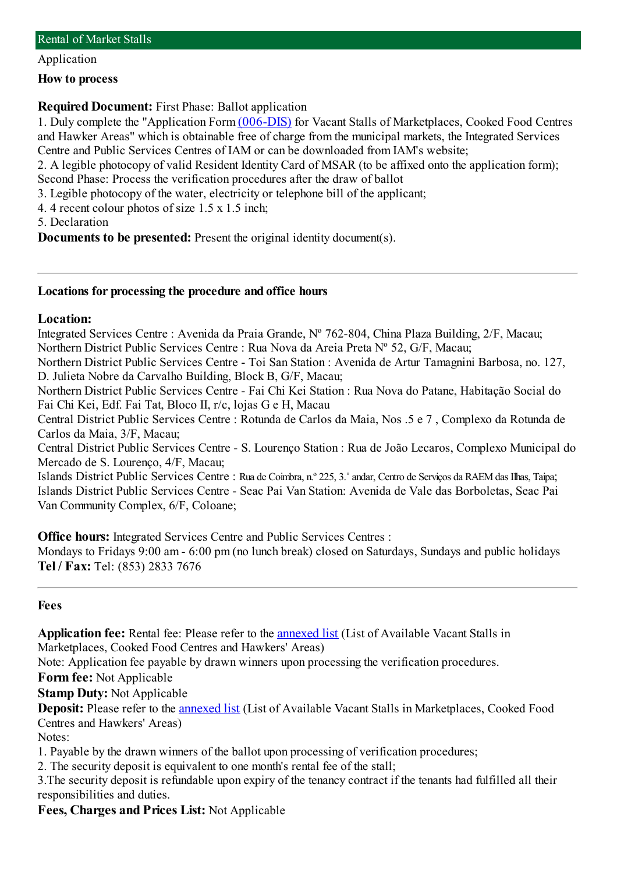Application

#### **How to process**

# **Required Document:** First Phase: Ballot application

1. Duly complete the "Application Form[\(006-DIS\)](http://www.iam.gov.mo/c/pdf/eformDetail/PDF382) for Vacant Stalls of Marketplaces, Cooked Food Centres and Hawker Areas" which is obtainable free of charge fromthe municipal markets, the Integrated Services Centre and Public Services Centres of IAM or can be downloaded fromIAM's website;

2. A legible photocopy of valid Resident Identity Card of MSAR (to be affixed onto the application form); Second Phase: Process the verification procedures after the draw of ballot

3. Legible photocopy of the water, electricity or telephone bill of the applicant;

4. 4 recent colour photos of size 1.5 x 1.5 inch;

5. Declaration

**Documents to be presented:** Present the original identity document(s).

## **Locations for processing the procedure and office hours**

### **Location:**

Integrated Services Centre : Avenida da Praia Grande, Nº 762-804, China Plaza Building, 2/F, Macau; Northern District Public Services Centre : Rua Nova da Areia Preta Nº 52, G/F, Macau;

Northern District Public Services Centre - Toi San Station : Avenida de Artur Tamagnini Barbosa, no. 127, D. Julieta Nobre da Carvalho Building, Block B, G/F, Macau;

Northern District Public Services Centre - Fai Chi Kei Station : Rua Nova do Patane, Habitação Social do Fai Chi Kei, Edf. Fai Tat, Bloco II, r/c, lojas G e H, Macau

Central District Public Services Centre : Rotunda de Carlos da Maia, Nos .5 e 7 , Complexo da Rotunda de Carlos da Maia, 3/F, Macau;

Central District Public Services Centre - S. Lourenço Station : Rua de João Lecaros, Complexo Municipal do Mercado de S. Lourenço, 4/F, Macau;

Islands District Public Services Centre : Rua de Coimbra, n.º 225, 3.˚andar, Centro de Serviços da RAEMdas Ilhas, Taipa; Islands District Public Services Centre - Seac Pai Van Station: Avenida de Vale das Borboletas, Seac Pai Van Community Complex, 6/F, Coloane;

**Office hours:** Integrated Services Centre and Public Services Centres :

Mondays to Fridays 9:00 am- 6:00 pm(no lunch break) closed on Saturdays, Sundays and public holidays **Tel / Fax:** Tel: (853) 2833 7676

#### **Fees**

**Application fee:** Rental fee: Please refer to the [annexed](https://www.iam.gov.mo/e/default/) list (List of Available Vacant Stalls in Marketplaces, Cooked Food Centres and Hawkers' Areas)

Note: Application fee payable by drawn winners upon processing the verification procedures.

**Form fee:** Not Applicable

**Stamp Duty:** Not Applicable

**Deposit:** Please refer to the [annexed](https://www.iam.gov.mo/e/default/) list (List of Available Vacant Stalls in Marketplaces, Cooked Food Centres and Hawkers' Areas)

Notes:

1. Payable by the drawn winners of the ballot upon processing of verification procedures;

2. The security deposit is equivalent to one month's rental fee of the stall;

3.The security deposit is refundable upon expiry of the tenancy contract if the tenants had fulfilled all their responsibilities and duties.

**Fees, Charges and Prices List:** Not Applicable